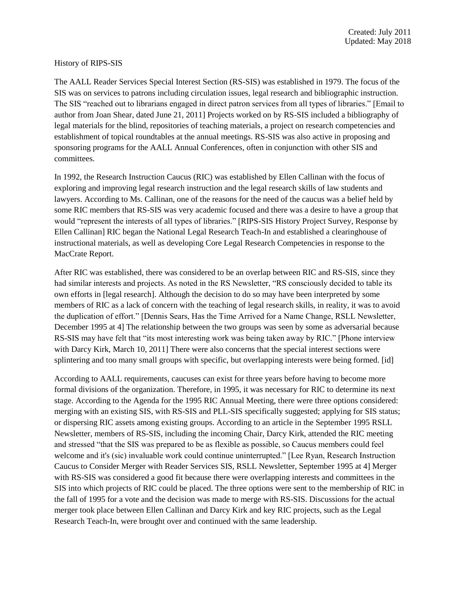## History of RIPS-SIS

The AALL Reader Services Special Interest Section (RS-SIS) was established in 1979. The focus of the SIS was on services to patrons including circulation issues, legal research and bibliographic instruction. The SIS "reached out to librarians engaged in direct patron services from all types of libraries." [Email to author from Joan Shear, dated June 21, 2011] Projects worked on by RS-SIS included a bibliography of legal materials for the blind, repositories of teaching materials, a project on research competencies and establishment of topical roundtables at the annual meetings. RS-SIS was also active in proposing and sponsoring programs for the AALL Annual Conferences, often in conjunction with other SIS and committees.

In 1992, the Research Instruction Caucus (RIC) was established by Ellen Callinan with the focus of exploring and improving legal research instruction and the legal research skills of law students and lawyers. According to Ms. Callinan, one of the reasons for the need of the caucus was a belief held by some RIC members that RS-SIS was very academic focused and there was a desire to have a group that would "represent the interests of all types of libraries." [RIPS-SIS History Project Survey, Response by Ellen Callinan] RIC began the National Legal Research Teach-In and established a clearinghouse of instructional materials, as well as developing Core Legal Research Competencies in response to the MacCrate Report.

After RIC was established, there was considered to be an overlap between RIC and RS-SIS, since they had similar interests and projects. As noted in the RS Newsletter, "RS consciously decided to table its own efforts in [legal research]. Although the decision to do so may have been interpreted by some members of RIC as a lack of concern with the teaching of legal research skills, in reality, it was to avoid the duplication of effort." [Dennis Sears, Has the Time Arrived for a Name Change, RSLL Newsletter, December 1995 at 4] The relationship between the two groups was seen by some as adversarial because RS-SIS may have felt that "its most interesting work was being taken away by RIC." [Phone interview with Darcy Kirk, March 10, 2011] There were also concerns that the special interest sections were splintering and too many small groups with specific, but overlapping interests were being formed. [id]

According to AALL requirements, caucuses can exist for three years before having to become more formal divisions of the organization. Therefore, in 1995, it was necessary for RIC to determine its next stage. According to the Agenda for the 1995 RIC Annual Meeting, there were three options considered: merging with an existing SIS, with RS-SIS and PLL-SIS specifically suggested; applying for SIS status; or dispersing RIC assets among existing groups. According to an article in the September 1995 RSLL Newsletter, members of RS-SIS, including the incoming Chair, Darcy Kirk, attended the RIC meeting and stressed "that the SIS was prepared to be as flexible as possible, so Caucus members could feel welcome and it's (sic) invaluable work could continue uninterrupted." [Lee Ryan, Research Instruction Caucus to Consider Merger with Reader Services SIS, RSLL Newsletter, September 1995 at 4] Merger with RS-SIS was considered a good fit because there were overlapping interests and committees in the SIS into which projects of RIC could be placed. The three options were sent to the membership of RIC in the fall of 1995 for a vote and the decision was made to merge with RS-SIS. Discussions for the actual merger took place between Ellen Callinan and Darcy Kirk and key RIC projects, such as the Legal Research Teach-In, were brought over and continued with the same leadership.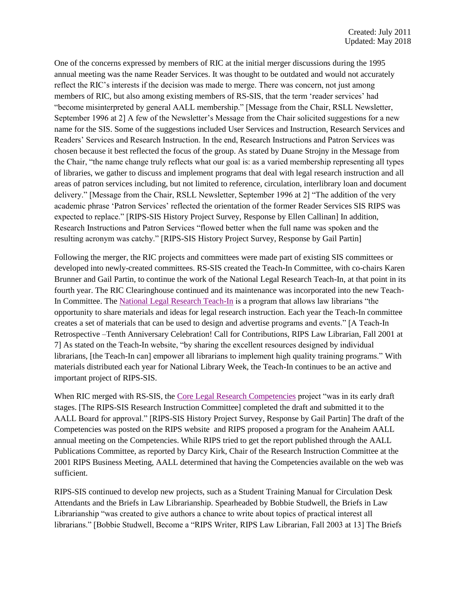One of the concerns expressed by members of RIC at the initial merger discussions during the 1995 annual meeting was the name Reader Services. It was thought to be outdated and would not accurately reflect the RIC's interests if the decision was made to merge. There was concern, not just among members of RIC, but also among existing members of RS-SIS, that the term 'reader services' had "become misinterpreted by general AALL membership." [Message from the Chair, RSLL Newsletter, September 1996 at 2] A few of the Newsletter's Message from the Chair solicited suggestions for a new name for the SIS. Some of the suggestions included User Services and Instruction, Research Services and Readers' Services and Research Instruction. In the end, Research Instructions and Patron Services was chosen because it best reflected the focus of the group. As stated by Duane Strojny in the Message from the Chair, "the name change truly reflects what our goal is: as a varied membership representing all types of libraries, we gather to discuss and implement programs that deal with legal research instruction and all areas of patron services including, but not limited to reference, circulation, interlibrary loan and document delivery." [Message from the Chair, RSLL Newsletter, September 1996 at 2] "The addition of the very academic phrase 'Patron Services' reflected the orientation of the former Reader Services SIS RIPS was expected to replace." [RIPS-SIS History Project Survey, Response by Ellen Callinan] In addition, Research Instructions and Patron Services "flowed better when the full name was spoken and the resulting acronym was catchy." [RIPS-SIS History Project Survey, Response by Gail Partin]

Following the merger, the RIC projects and committees were made part of existing SIS committees or developed into newly-created committees. RS-SIS created the Teach-In Committee, with co-chairs Karen Brunner and Gail Partin, to continue the work of the National Legal Research Teach-In, at that point in its fourth year. The RIC Clearinghouse continued and its maintenance was incorporated into the new Teach-In Committee. The [National Legal Research Teach-In](https://www.aallnet.org/ripssis/education-training/teach-in/https:/www.aallnet.org/ripssis/education-training/teach-in/) is a program that allows law librarians "the opportunity to share materials and ideas for legal research instruction. Each year the Teach-In committee creates a set of materials that can be used to design and advertise programs and events." [A Teach-In Retrospective –Tenth Anniversary Celebration! Call for Contributions, RIPS Law Librarian, Fall 2001 at 7] As stated on the Teach-In website, "by sharing the excellent resources designed by individual librarians, [the Teach-In can] empower all librarians to implement high quality training programs." With materials distributed each year for National Library Week, the Teach-In continues to be an active and important project of RIPS-SIS.

When RIC merged with RS-SIS, the [Core Legal Research Competencies](https://www.aallnet.org/ripssis/wp-content/uploads/sites/15/2018/01/RIPS-core.pdf) project "was in its early draft stages. [The RIPS-SIS Research Instruction Committee] completed the draft and submitted it to the AALL Board for approval." [RIPS-SIS History Project Survey, Response by Gail Partin] The draft of the Competencies was posted on the RIPS website and RIPS proposed a program for the Anaheim AALL annual meeting on the Competencies. While RIPS tried to get the report published through the AALL Publications Committee, as reported by Darcy Kirk, Chair of the Research Instruction Committee at the 2001 RIPS Business Meeting, AALL determined that having the Competencies available on the web was sufficient.

RIPS-SIS continued to develop new projects, such as a Student Training Manual for Circulation Desk Attendants and the Briefs in Law Librarianship. Spearheaded by Bobbie Studwell, the Briefs in Law Librarianship "was created to give authors a chance to write about topics of practical interest all librarians." [Bobbie Studwell, Become a "RIPS Writer, RIPS Law Librarian, Fall 2003 at 13] The Briefs